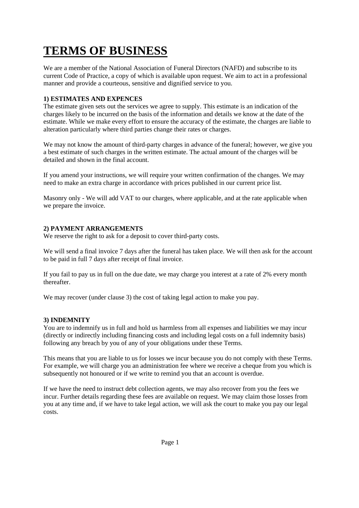# **TERMS OF BUSINESS**

We are a member of the National Association of Funeral Directors (NAFD) and subscribe to its current Code of Practice, a copy of which is available upon request. We aim to act in a professional manner and provide a courteous, sensitive and dignified service to you.

## **1) ESTIMATES AND EXPENCES**

The estimate given sets out the services we agree to supply. This estimate is an indication of the charges likely to be incurred on the basis of the information and details we know at the date of the estimate. While we make every effort to ensure the accuracy of the estimate, the charges are liable to alteration particularly where third parties change their rates or charges.

We may not know the amount of third-party charges in advance of the funeral; however, we give you a best estimate of such charges in the written estimate. The actual amount of the charges will be detailed and shown in the final account.

If you amend your instructions, we will require your written confirmation of the changes. We may need to make an extra charge in accordance with prices published in our current price list.

Masonry only - We will add VAT to our charges, where applicable, and at the rate applicable when we prepare the invoice.

## **2) PAYMENT ARRANGEMENTS**

We reserve the right to ask for a deposit to cover third-party costs.

We will send a final invoice 7 days after the funeral has taken place. We will then ask for the account to be paid in full 7 days after receipt of final invoice.

If you fail to pay us in full on the due date, we may charge you interest at a rate of 2% every month thereafter.

We may recover (under clause 3) the cost of taking legal action to make you pay.

## **3) INDEMNITY**

You are to indemnify us in full and hold us harmless from all expenses and liabilities we may incur (directly or indirectly including financing costs and including legal costs on a full indemnity basis) following any breach by you of any of your obligations under these Terms.

This means that you are liable to us for losses we incur because you do not comply with these Terms. For example, we will charge you an administration fee where we receive a cheque from you which is subsequently not honoured or if we write to remind you that an account is overdue.

If we have the need to instruct debt collection agents, we may also recover from you the fees we incur. Further details regarding these fees are available on request. We may claim those losses from you at any time and, if we have to take legal action, we will ask the court to make you pay our legal costs.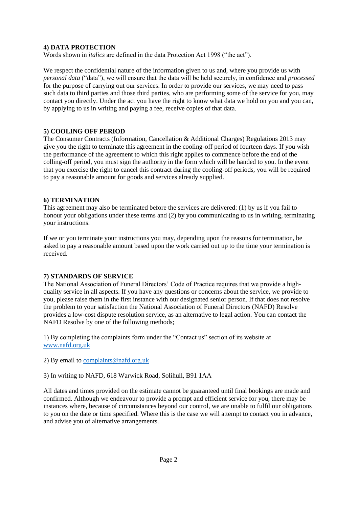### **4) DATA PROTECTION**

Words shown in *italics* are defined in the data Protection Act 1998 ("the act").

We respect the confidential nature of the information given to us and, where you provide us with *personal data* ("data"), we will ensure that the data will be held securely, in confidence and *processed*  for the purpose of carrying out our services. In order to provide our services, we may need to pass such data to third parties and those third parties, who are performing some of the service for you, may contact you directly. Under the act you have the right to know what data we hold on you and you can, by applying to us in writing and paying a fee, receive copies of that data.

### **5) COOLING OFF PERIOD**

The Consumer Contracts (Information, Cancellation & Additional Charges) Regulations 2013 may give you the right to terminate this agreement in the cooling-off period of fourteen days. If you wish the performance of the agreement to which this right applies to commence before the end of the colling-off period, you must sign the authority in the form which will be handed to you. In the event that you exercise the right to cancel this contract during the cooling-off periods, you will be required to pay a reasonable amount for goods and services already supplied.

### **6) TERMINATION**

This agreement may also be terminated before the services are delivered: (1) by us if you fail to honour your obligations under these terms and (2) by you communicating to us in writing, terminating your instructions.

If we or you terminate your instructions you may, depending upon the reasons for termination, be asked to pay a reasonable amount based upon the work carried out up to the time your termination is received.

## **7) STANDARDS OF SERVICE**

The National Association of Funeral Directors' Code of Practice requires that we provide a highquality service in all aspects. If you have any questions or concerns about the service, we provide to you, please raise them in the first instance with our designated senior person. If that does not resolve the problem to your satisfaction the National Association of Funeral Directors (NAFD) Resolve provides a low-cost dispute resolution service, as an alternative to legal action. You can contact the NAFD Resolve by one of the following methods;

1) By completing the complaints form under the "Contact us" section of its website at [www.nafd.org.uk](http://www.nafd.org.uk/)

2) By email to [complaints@nafd.org.uk](mailto:complaints@nafd.org.uk)

3) In writing to NAFD, 618 Warwick Road, Solihull, B91 1AA

All dates and times provided on the estimate cannot be guaranteed until final bookings are made and confirmed. Although we endeavour to provide a prompt and efficient service for you, there may be instances where, because of circumstances beyond our control, we are unable to fulfil our obligations to you on the date or time specified. Where this is the case we will attempt to contact you in advance, and advise you of alternative arrangements.